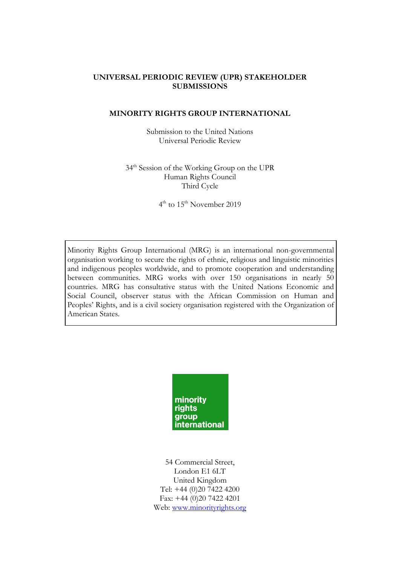### **UNIVERSAL PERIODIC REVIEW (UPR) STAKEHOLDER SUBMISSIONS**

#### **MINORITY RIGHTS GROUP INTERNATIONAL**

Submission to the United Nations Universal Periodic Review

34th Session of the Working Group on the UPR Human Rights Council Third Cycle

4<sup>th</sup> to 15<sup>th</sup> November 2019

Minority Rights Group International (MRG) is an international non-governmental organisation working to secure the rights of ethnic, religious and linguistic minorities and indigenous peoples worldwide, and to promote cooperation and understanding between communities. MRG works with over 150 organisations in nearly 50 countries. MRG has consultative status with the United Nations Economic and Social Council, observer status with the African Commission on Human and Peoples' Rights, and is a civil society organisation registered with the Organization of American States.



54 Commercial Street, London E1 6LT United Kingdom Tel: +44 (0)20 7422 4200 Fax: +44 (0)20 7422 4201 Web: [www.minorityrights.org](http://www.minorityrights.org/)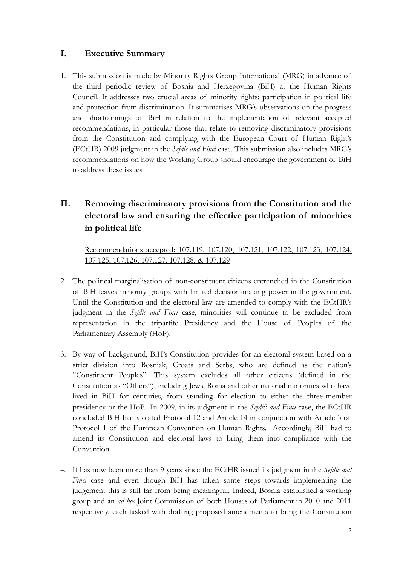# **I. Executive Summary**

1. This submission is made by Minority Rights Group International (MRG) in advance of the third periodic review of Bosnia and Herzegovina (BiH) at the Human Rights Council. It addresses two crucial areas of minority rights: participation in political life and protection from discrimination. It summarises MRG's observations on the progress and shortcomings of BiH in relation to the implementation of relevant accepted recommendations, in particular those that relate to removing discriminatory provisions from the Constitution and complying with the European Court of Human Right's (ECtHR) 2009 judgment in the *Sejdic and Finci* case. This submission also includes MRG's recommendations on how the Working Group should encourage the government of BiH to address these issues.

# **II. Removing discriminatory provisions from the Constitution and the electoral law and ensuring the effective participation of minorities in political life**

Recommendations accepted: 107.119, 107.120, 107.121, 107.122, 107.123, 107.124, 107.125, 107.126, 107.127, 107.128, & 107.129

- 2. The political marginalisation of non-constituent citizens entrenched in the Constitution of BiH leaves minority groups with limited decision-making power in the government. Until the Constitution and the electoral law are amended to comply with the ECtHR's judgment in the *Sejdic and Finci* case, minorities will continue to be excluded from representation in the tripartite Presidency and the House of Peoples of the Parliamentary Assembly (HoP).
- 3. By way of background, BiH's Constitution provides for an electoral system based on a strict division into Bosniak, Croats and Serbs, who are defined as the nation's "Constituent Peoples". This system excludes all other citizens (defined in the Constitution as "Others"), including Jews, Roma and other national minorities who have lived in BiH for centuries, from standing for election to either the three-member presidency or the HoP. In 2009, in its judgment in the *Sejdić and Finci* case, the ECtHR concluded BiH had violated Protocol 12 and Article 14 in conjunction with Article 3 of Protocol 1 of the European Convention on Human Rights. Accordingly, BiH had to amend its Constitution and electoral laws to bring them into compliance with the Convention.
- 4. It has now been more than 9 years since the ECtHR issued its judgment in the *Sejdic and Finci* case and even though BiH has taken some steps towards implementing the judgement this is still far from being meaningful. Indeed, Bosnia established a working group and an *ad hoc* Joint Commission of both Houses of Parliament in 2010 and 2011 respectively, each tasked with drafting proposed amendments to bring the Constitution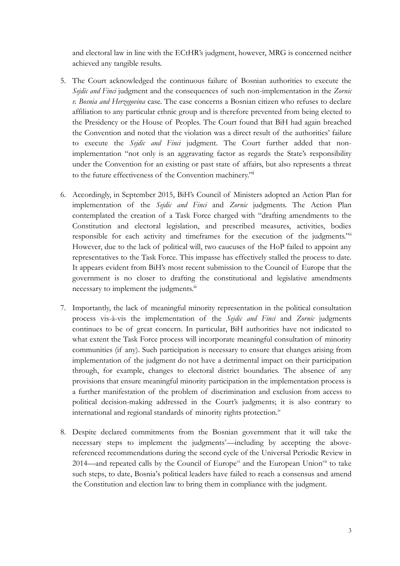and electoral law in line with the ECtHR's judgment, however, MRG is concerned neither achieved any tangible results.

- 5. The Court acknowledged the continuous failure of Bosnian authorities to execute the *Sejdic and Finci* judgment and the consequences of such non-implementation in the *Zornic v. Bosnia and Herzegovina* case. The case concerns a Bosnian citizen who refuses to declare affiliation to any particular ethnic group and is therefore prevented from being elected to the Presidency or the House of Peoples. The Court found that BiH had again breached the Convention and noted that the violation was a direct result of the authorities' failure to execute the *Sejdic and Finci* judgment. The Court further added that nonimplementation "not only is an aggravating factor as regards the State's responsibility under the Convention for an existing or past state of affairs, but also represents a threat to the future effectiveness of the Convention machinery."<sup>i</sup>
- 6. Accordingly, in September 2015, BiH's Council of Ministers adopted an Action Plan for implementation of the *Sejdic and Finci* and *Zornic* judgments. The Action Plan contemplated the creation of a Task Force charged with "drafting amendments to the Constitution and electoral legislation, and prescribed measures, activities, bodies responsible for each activity and timeframes for the execution of the judgments." However, due to the lack of political will, two caucuses of the HoP failed to appoint any representatives to the Task Force. This impasse has effectively stalled the process to date. It appears evident from BiH's most recent submission to the Council of Europe that the government is no closer to drafting the constitutional and legislative amendments necessary to implement the judgments.<sup>iii</sup>
- 7. Importantly, the lack of meaningful minority representation in the political consultation process vis-à-vis the implementation of the *Sejdic and Finci* and *Zornic* judgments continues to be of great concern. In particular, BiH authorities have not indicated to what extent the Task Force process will incorporate meaningful consultation of minority communities (if any). Such participation is necessary to ensure that changes arising from implementation of the judgment do not have a detrimental impact on their participation through, for example, changes to electoral district boundaries. The absence of any provisions that ensure meaningful minority participation in the implementation process is a further manifestation of the problem of discrimination and exclusion from access to political decision-making addressed in the Court's judgments; it is also contrary to international and regional standards of minority rights protection.<sup>iv</sup>
- 8. Despite declared commitments from the Bosnian government that it will take the necessary steps to implement the judgments<sup>y</sup>—including by accepting the abovereferenced recommendations during the second cycle of the Universal Periodic Review in 2014—and repeated calls by the Council of Europe<sup>vi</sup> and the European Union<sup>vii</sup> to take such steps, to date, Bosnia's political leaders have failed to reach a consensus and amend the Constitution and election law to bring them in compliance with the judgment.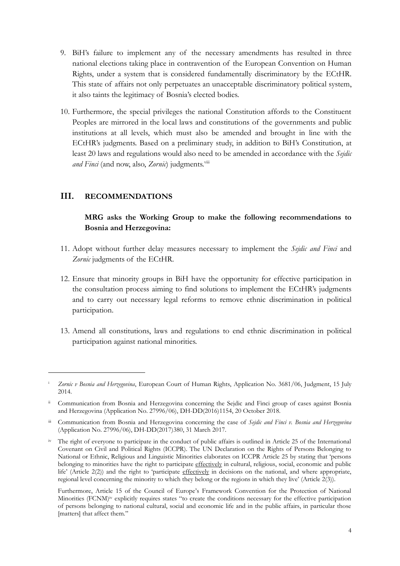- 9. BiH's failure to implement any of the necessary amendments has resulted in three national elections taking place in contravention of the European Convention on Human Rights, under a system that is considered fundamentally discriminatory by the ECtHR. This state of affairs not only perpetuates an unacceptable discriminatory political system, it also taints the legitimacy of Bosnia's elected bodies.
- 10. Furthermore, the special privileges the national Constitution affords to the Constituent Peoples are mirrored in the local laws and constitutions of the governments and public institutions at all levels, which must also be amended and brought in line with the ECtHR's judgments. Based on a preliminary study, in addition to BiH's Constitution, at least 20 laws and regulations would also need to be amended in accordance with the *Sejdic* and Finci (and now, also, Zornic) judgments.<sup>viii</sup>

### **III. RECOMMENDATIONS**

1

## **MRG asks the Working Group to make the following recommendations to Bosnia and Herzegovina:**

- 11. Adopt without further delay measures necessary to implement the *Sejdic and Finci* and *Zornic* judgments of the ECtHR.
- 12. Ensure that minority groups in BiH have the opportunity for effective participation in the consultation process aiming to find solutions to implement the ECtHR's judgments and to carry out necessary legal reforms to remove ethnic discrimination in political participation.
- 13. Amend all constitutions, laws and regulations to end ethnic discrimination in political participation against national minorities.

<sup>i</sup> *Zornic v Bosnia and Herzegovina*, European Court of Human Rights, Application No. 3681/06, Judgment, 15 July 2014.

ii Communication from Bosnia and Herzegovina concerning the Sejdic and Finci group of cases against Bosnia and Herzegovina (Application No. 27996/06), DH-DD(2016)1154, 20 October 2018.

iii Communication from Bosnia and Herzegovina concerning the case of *Sejdic and Finci v. Bosnia and Herzegovina* (Application No. 27996/06), DH-DD(2017)380, 31 March 2017.

<sup>&</sup>lt;sup>iv</sup> The right of everyone to participate in the conduct of public affairs is outlined in Article 25 of the International Covenant on Civil and Political Rights (ICCPR). The UN Declaration on the Rights of Persons Belonging to National or Ethnic, Religious and Linguistic Minorities elaborates on ICCPR Article 25 by stating that 'persons belonging to minorities have the right to participate effectively in cultural, religious, social, economic and public life' (Article 2(2)) and the right to 'participate effectively in decisions on the national, and where appropriate, regional level concerning the minority to which they belong or the regions in which they live' (Article 2(3)).

Furthermore, Article 15 of the Council of Europe's Framework Convention for the Protection of National Minorities (FCNM)<sup>iv</sup> explicitly requires states "to create the conditions necessary for the effective participation of persons belonging to national cultural, social and economic life and in the public affairs, in particular those [matters] that affect them."